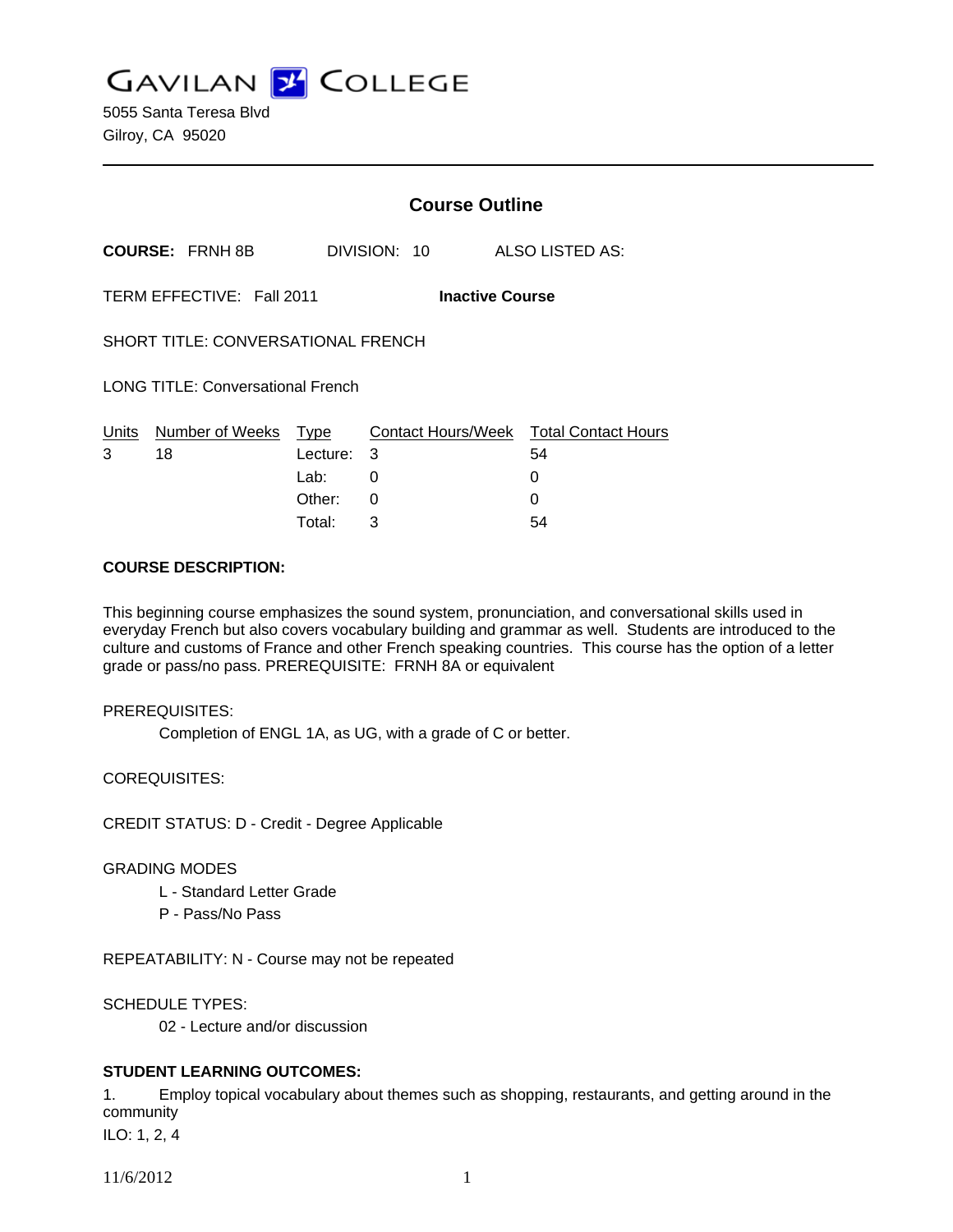**GAVILAN J COLLEGE** 

5055 Santa Teresa Blvd Gilroy, CA 95020

|                                                     | <b>Course Outline</b> |              |                                                   |
|-----------------------------------------------------|-----------------------|--------------|---------------------------------------------------|
| <b>COURSE: FRNH 8B</b>                              |                       | DIVISION: 10 | ALSO LISTED AS:                                   |
| TERM EFFECTIVE: Fall 2011<br><b>Inactive Course</b> |                       |              |                                                   |
| SHORT TITLE: CONVERSATIONAL FRENCH                  |                       |              |                                                   |
| <b>LONG TITLE: Conversational French</b>            |                       |              |                                                   |
| Number of Weeks Type<br>Units<br>3<br>18            | Lecture:<br>Lab:      | 3<br>0       | Contact Hours/Week Total Contact Hours<br>54<br>0 |
|                                                     | Other:<br>Total:      | 0<br>3       | 0<br>54                                           |

## **COURSE DESCRIPTION:**

This beginning course emphasizes the sound system, pronunciation, and conversational skills used in everyday French but also covers vocabulary building and grammar as well. Students are introduced to the culture and customs of France and other French speaking countries. This course has the option of a letter grade or pass/no pass. PREREQUISITE: FRNH 8A or equivalent

### PREREQUISITES:

Completion of ENGL 1A, as UG, with a grade of C or better.

COREQUISITES:

CREDIT STATUS: D - Credit - Degree Applicable

### GRADING MODES

- L Standard Letter Grade
- P Pass/No Pass

REPEATABILITY: N - Course may not be repeated

SCHEDULE TYPES:

02 - Lecture and/or discussion

# **STUDENT LEARNING OUTCOMES:**

1. Employ topical vocabulary about themes such as shopping, restaurants, and getting around in the community

ILO: 1, 2, 4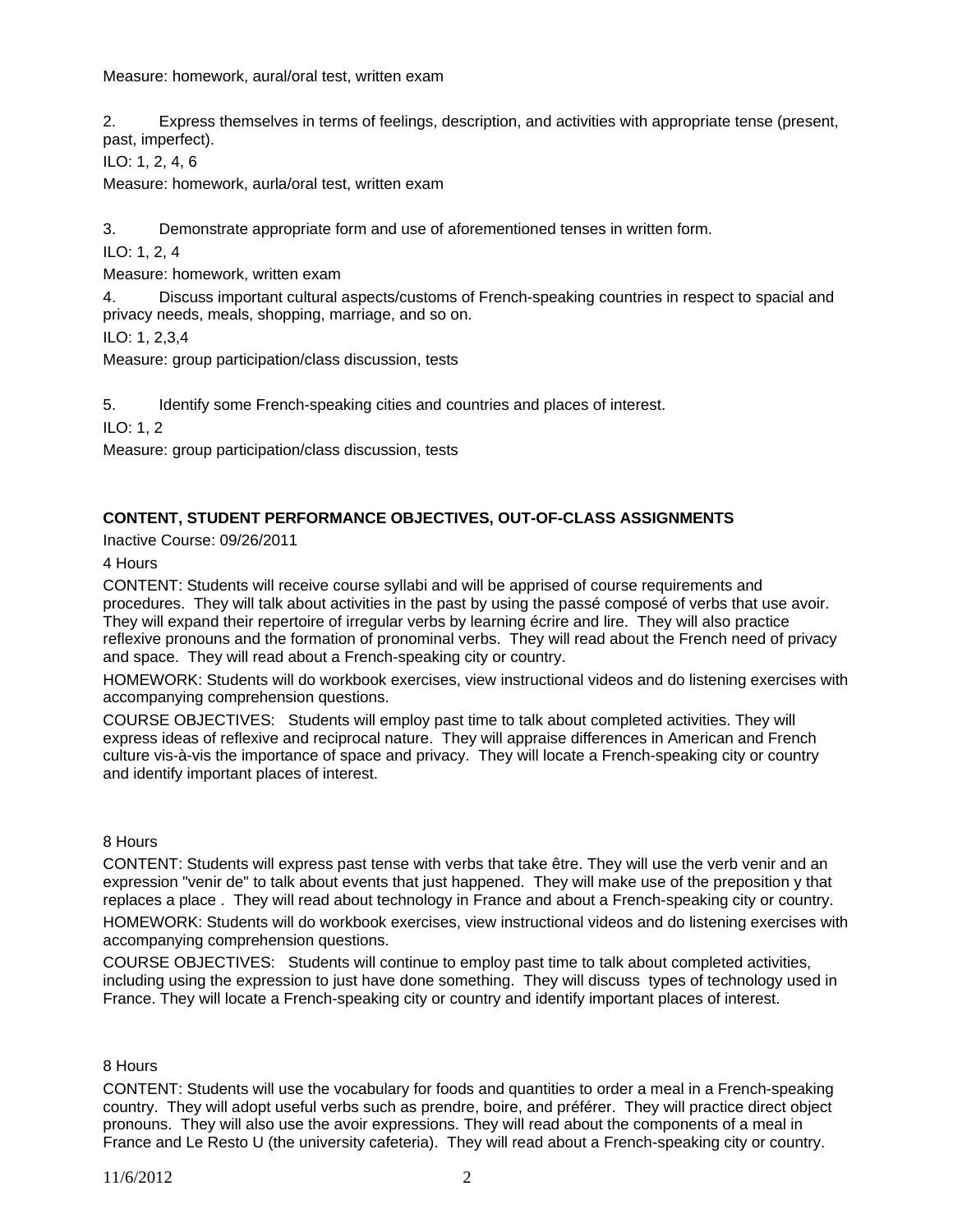Measure: homework, aural/oral test, written exam

2. Express themselves in terms of feelings, description, and activities with appropriate tense (present, past, imperfect).

ILO: 1, 2, 4, 6

Measure: homework, aurla/oral test, written exam

3. Demonstrate appropriate form and use of aforementioned tenses in written form.

ILO: 1, 2, 4

Measure: homework, written exam

4. Discuss important cultural aspects/customs of French-speaking countries in respect to spacial and privacy needs, meals, shopping, marriage, and so on.

ILO: 1, 2,3,4

Measure: group participation/class discussion, tests

5. Identify some French-speaking cities and countries and places of interest.

ILO: 1, 2

Measure: group participation/class discussion, tests

# **CONTENT, STUDENT PERFORMANCE OBJECTIVES, OUT-OF-CLASS ASSIGNMENTS**

Inactive Course: 09/26/2011

4 Hours

CONTENT: Students will receive course syllabi and will be apprised of course requirements and procedures. They will talk about activities in the past by using the passé composé of verbs that use avoir. They will expand their repertoire of irregular verbs by learning écrire and lire. They will also practice reflexive pronouns and the formation of pronominal verbs. They will read about the French need of privacy and space. They will read about a French-speaking city or country.

HOMEWORK: Students will do workbook exercises, view instructional videos and do listening exercises with accompanying comprehension questions.

COURSE OBJECTIVES: Students will employ past time to talk about completed activities. They will express ideas of reflexive and reciprocal nature. They will appraise differences in American and French culture vis-à-vis the importance of space and privacy. They will locate a French-speaking city or country and identify important places of interest.

### 8 Hours

CONTENT: Students will express past tense with verbs that take être. They will use the verb venir and an expression "venir de" to talk about events that just happened. They will make use of the preposition y that replaces a place . They will read about technology in France and about a French-speaking city or country. HOMEWORK: Students will do workbook exercises, view instructional videos and do listening exercises with accompanying comprehension questions.

COURSE OBJECTIVES: Students will continue to employ past time to talk about completed activities, including using the expression to just have done something. They will discuss types of technology used in France. They will locate a French-speaking city or country and identify important places of interest.

### 8 Hours

CONTENT: Students will use the vocabulary for foods and quantities to order a meal in a French-speaking country. They will adopt useful verbs such as prendre, boire, and préférer. They will practice direct object pronouns. They will also use the avoir expressions. They will read about the components of a meal in France and Le Resto U (the university cafeteria). They will read about a French-speaking city or country.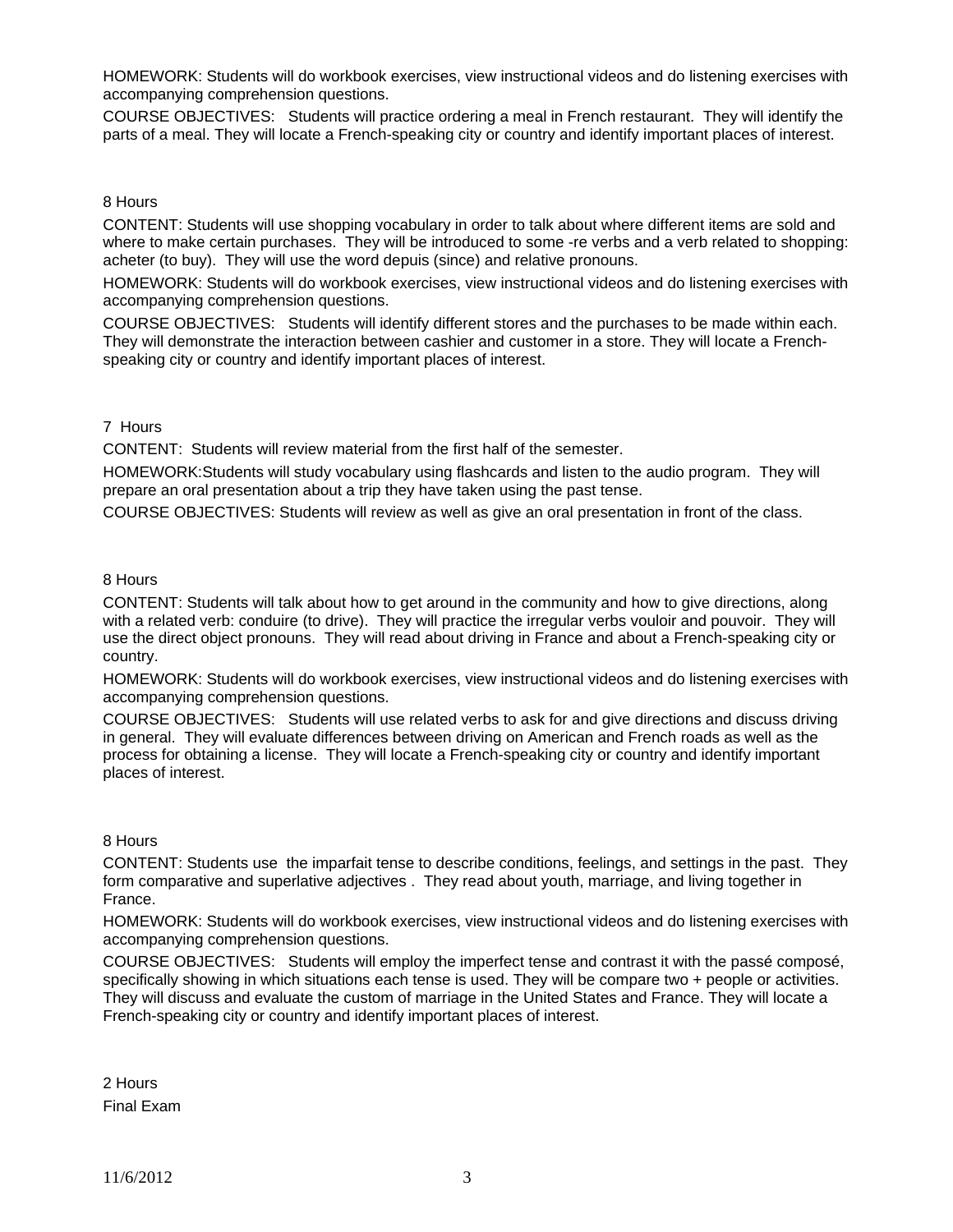HOMEWORK: Students will do workbook exercises, view instructional videos and do listening exercises with accompanying comprehension questions.

COURSE OBJECTIVES: Students will practice ordering a meal in French restaurant. They will identify the parts of a meal. They will locate a French-speaking city or country and identify important places of interest.

## 8 Hours

CONTENT: Students will use shopping vocabulary in order to talk about where different items are sold and where to make certain purchases. They will be introduced to some -re verbs and a verb related to shopping: acheter (to buy). They will use the word depuis (since) and relative pronouns.

HOMEWORK: Students will do workbook exercises, view instructional videos and do listening exercises with accompanying comprehension questions.

COURSE OBJECTIVES: Students will identify different stores and the purchases to be made within each. They will demonstrate the interaction between cashier and customer in a store. They will locate a Frenchspeaking city or country and identify important places of interest.

## 7 Hours

CONTENT: Students will review material from the first half of the semester.

HOMEWORK:Students will study vocabulary using flashcards and listen to the audio program. They will prepare an oral presentation about a trip they have taken using the past tense.

COURSE OBJECTIVES: Students will review as well as give an oral presentation in front of the class.

## 8 Hours

CONTENT: Students will talk about how to get around in the community and how to give directions, along with a related verb: conduire (to drive). They will practice the irregular verbs vouloir and pouvoir. They will use the direct object pronouns. They will read about driving in France and about a French-speaking city or country.

HOMEWORK: Students will do workbook exercises, view instructional videos and do listening exercises with accompanying comprehension questions.

COURSE OBJECTIVES: Students will use related verbs to ask for and give directions and discuss driving in general. They will evaluate differences between driving on American and French roads as well as the process for obtaining a license. They will locate a French-speaking city or country and identify important places of interest.

### 8 Hours

CONTENT: Students use the imparfait tense to describe conditions, feelings, and settings in the past. They form comparative and superlative adjectives . They read about youth, marriage, and living together in France.

HOMEWORK: Students will do workbook exercises, view instructional videos and do listening exercises with accompanying comprehension questions.

COURSE OBJECTIVES: Students will employ the imperfect tense and contrast it with the passé composé, specifically showing in which situations each tense is used. They will be compare two + people or activities. They will discuss and evaluate the custom of marriage in the United States and France. They will locate a French-speaking city or country and identify important places of interest.

2 Hours Final Exam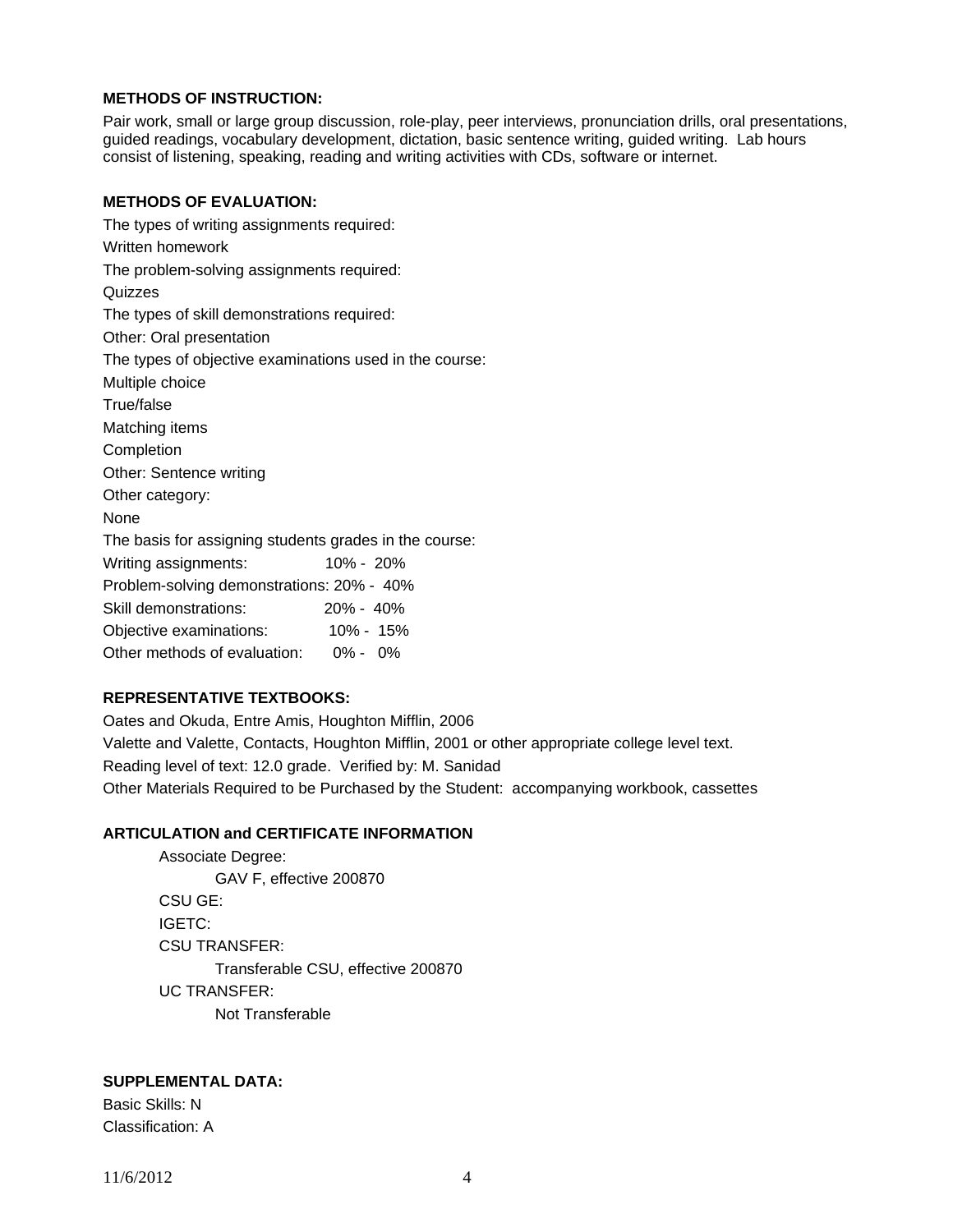# **METHODS OF INSTRUCTION:**

Pair work, small or large group discussion, role-play, peer interviews, pronunciation drills, oral presentations, guided readings, vocabulary development, dictation, basic sentence writing, guided writing. Lab hours consist of listening, speaking, reading and writing activities with CDs, software or internet.

## **METHODS OF EVALUATION:**

The types of writing assignments required: Written homework The problem-solving assignments required: Quizzes The types of skill demonstrations required: Other: Oral presentation The types of objective examinations used in the course: Multiple choice True/false Matching items **Completion** Other: Sentence writing Other category: None The basis for assigning students grades in the course: Writing assignments: 10% - 20% Problem-solving demonstrations: 20% - 40% Skill demonstrations: 20% - 40% Objective examinations: 10% - 15% Other methods of evaluation: 0% - 0%

# **REPRESENTATIVE TEXTBOOKS:**

Oates and Okuda, Entre Amis, Houghton Mifflin, 2006 Valette and Valette, Contacts, Houghton Mifflin, 2001 or other appropriate college level text. Reading level of text: 12.0 grade. Verified by: M. Sanidad Other Materials Required to be Purchased by the Student: accompanying workbook, cassettes

### **ARTICULATION and CERTIFICATE INFORMATION**

 Associate Degree: GAV F, effective 200870 CSU GE: IGETC: CSU TRANSFER: Transferable CSU, effective 200870 UC TRANSFER: Not Transferable

## **SUPPLEMENTAL DATA:**

Basic Skills: N Classification: A